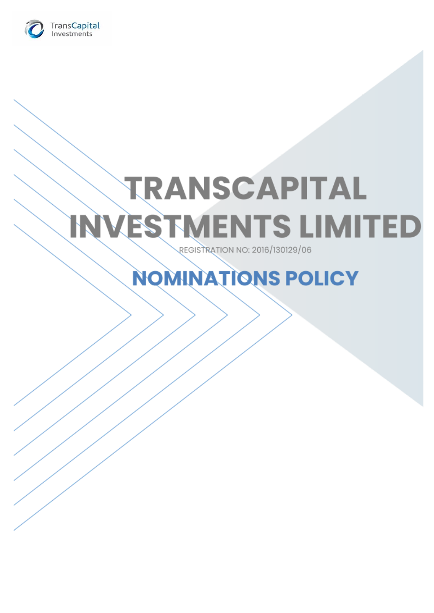

# **TRANSCAPITAL INVESTMENTS LIMITED REGISTRATION NO: 2016/130129/06**

# **NOMINATIONS POLICY**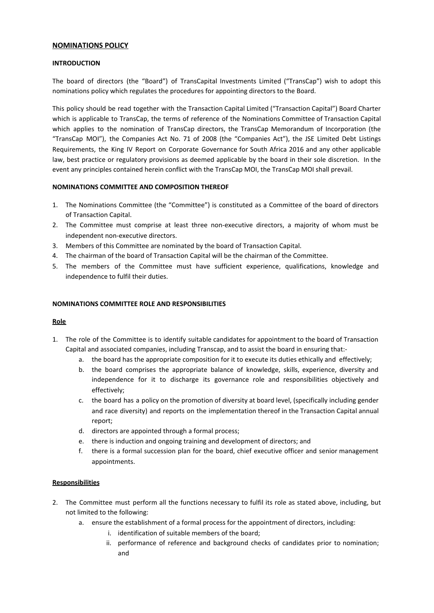# **NOMINATIONS POLICY**

#### **INTRODUCTION**

The board of directors (the "Board") of TransCapital Investments Limited ("TransCap") wish to adopt this nominations policy which regulates the procedures for appointing directors to the Board.

This policy should be read together with the Transaction Capital Limited ("Transaction Capital") Board Charter which is applicable to TransCap, the terms of reference of the Nominations Committee of Transaction Capital which applies to the nomination of TransCap directors, the TransCap Memorandum of Incorporation (the "TransCap MOI"), the Companies Act No. 71 of 2008 (the "Companies Act"), the JSE Limited Debt Listings Requirements, the King IV Report on Corporate Governance for South Africa 2016 and any other applicable law, best practice or regulatory provisions as deemed applicable by the board in their sole discretion. In the event any principles contained herein conflict with the TransCap MOI, the TransCap MOI shall prevail.

# **NOMINATIONS COMMITTEE AND COMPOSITION THEREOF**

- 1. The Nominations Committee (the "Committee") is constituted as a Committee of the board of directors of Transaction Capital.
- 2. The Committee must comprise at least three non-executive directors, a majority of whom must be independent non-executive directors.
- 3. Members of this Committee are nominated by the board of Transaction Capital.
- 4. The chairman of the board of Transaction Capital will be the chairman of the Committee.
- 5. The members of the Committee must have sufficient experience, qualifications, knowledge and independence to fulfil their duties.

#### **NOMINATIONS COMMITTEE ROLE AND RESPONSIBILITIES**

#### **Role**

- 1. The role of the Committee is to identify suitable candidates for appointment to the board of Transaction Capital and associated companies, including Transcap, and to assist the board in ensuring that:
	- a. the board has the appropriate composition for it to execute its duties ethically and effectively;
	- b. the board comprises the appropriate balance of knowledge, skills, experience, diversity and independence for it to discharge its governance role and responsibilities objectively and effectively;
	- c. the board has a policy on the promotion of diversity at board level, (specifically including gender and race diversity) and reports on the implementation thereof in the Transaction Capital annual report;
	- d. directors are appointed through a formal process;
	- e. there is induction and ongoing training and development of directors; and
	- f. there is a formal succession plan for the board, chief executive officer and senior management appointments.

#### **Responsibilities**

- 2. The Committee must perform all the functions necessary to fulfil its role as stated above, including, but not limited to the following:
	- a. ensure the establishment of a formal process for the appointment of directors, including:
		- i. identification of suitable members of the board;
			- ii. performance of reference and background checks of candidates prior to nomination; and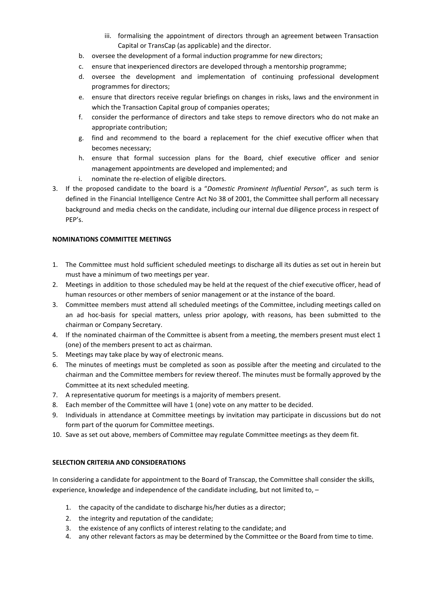- iii. formalising the appointment of directors through an agreement between Transaction Capital or TransCap (as applicable) and the director.
- b. oversee the development of a formal induction programme for new directors;
- c. ensure that inexperienced directors are developed through a mentorship programme;
- d. oversee the development and implementation of continuing professional development programmes for directors;
- e. ensure that directors receive regular briefings on changes in risks, laws and the environment in which the Transaction Capital group of companies operates;
- f. consider the performance of directors and take steps to remove directors who do not make an appropriate contribution;
- g. find and recommend to the board a replacement for the chief executive officer when that becomes necessary;
- h. ensure that formal succession plans for the Board, chief executive officer and senior management appointments are developed and implemented; and
- i. nominate the re-election of eligible directors.
- 3. If the proposed candidate to the board is a "*Domestic Prominent Influential Person*", as such term is defined in the Financial Intelligence Centre Act No 38 of 2001, the Committee shall perform all necessary background and media checks on the candidate, including our internal due diligence process in respect of PEP's.

# **NOMINATIONS COMMITTEE MEETINGS**

- 1. The Committee must hold sufficient scheduled meetings to discharge all its duties as set out in herein but must have a minimum of two meetings per year.
- 2. Meetings in addition to those scheduled may be held at the request of the chief executive officer, head of human resources or other members of senior management or at the instance of the board.
- 3. Committee members must attend all scheduled meetings of the Committee, including meetings called on an ad hoc-basis for special matters, unless prior apology, with reasons, has been submitted to the chairman or Company Secretary.
- 4. If the nominated chairman of the Committee is absent from a meeting, the members present must elect 1 (one) of the members present to act as chairman.
- 5. Meetings may take place by way of electronic means.
- 6. The minutes of meetings must be completed as soon as possible after the meeting and circulated to the chairman and the Committee members for review thereof. The minutes must be formally approved by the Committee at its next scheduled meeting.
- 7. A representative quorum for meetings is a majority of members present.
- 8. Each member of the Committee will have 1 (one) vote on any matter to be decided.
- 9. Individuals in attendance at Committee meetings by invitation may participate in discussions but do not form part of the quorum for Committee meetings.
- 10. Save as set out above, members of Committee may regulate Committee meetings as they deem fit.

#### **SELECTION CRITERIA AND CONSIDERATIONS**

In considering a candidate for appointment to the Board of Transcap, the Committee shall consider the skills, experience, knowledge and independence of the candidate including, but not limited to, –

- 1. the capacity of the candidate to discharge his/her duties as a director;
- 2. the integrity and reputation of the candidate;
- 3. the existence of any conflicts of interest relating to the candidate; and
- 4. any other relevant factors as may be determined by the Committee or the Board from time to time.